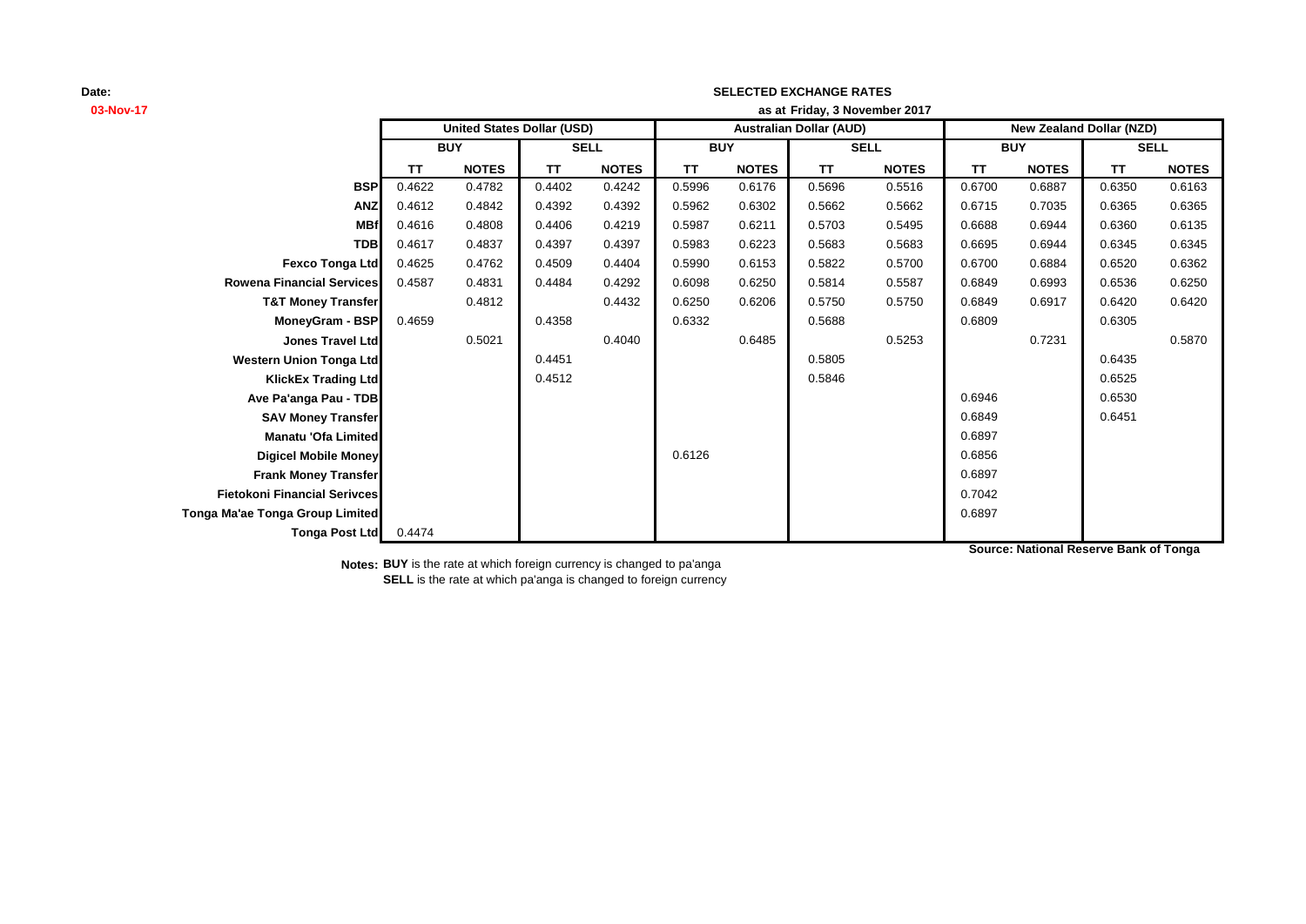# **03-Nov-17 as at TT NOTES TT NOTES TT NOTES TT NOTES TT NOTES TT NOTES BSP** 0.4622 0.4782 0.4402 0.4242 0.5996 0.6176 0.5696 0.5516 0.6700 0.6887 0.6350 0.6163 **ANZ** 0.4612 0.4842 0.4392 0.4392 0.5962 0.6302 0.5662 0.5662 0.6715 0.7035 0.6365 0.6365 **MBf** 0.4616 0.4808 0.4406 0.4219 0.5987 0.6211 0.5703 0.5495 0.6688 0.6944 0.6360 0.6135 **TDB** 0.4617 0.4837 0.4397 0.4397 0.5983 0.6223 0.5683 0.5683 0.6695 0.6944 0.6345 0.6345 **Fexco Tonga Ltd** 0.4625 0.4762 0.4509 0.4404 0.5990 0.6153 0.5822 0.5700 0.6700 0.6884 0.6520 0.6362 **Rowena Financial Services** 0.4587 0.4831 0.4484 0.4292 0.6098 0.6250 0.5814 0.5587 0.6849 0.6993 0.6536 0.6250 **T&T Money Transfer** 0.4812 0.4432 0.6250 0.6206 0.5750 0.5750 0.6849 0.6917 0.6420 0.6420 **MoneyGram - BSP|** 0.4659 | 0.4358 | 0.6332 | 0.5688 | 0.6809 | 0.6305 **Jones Travel Ltd** 0.5021 0.4040 0.6485 0.5253 0.7231 0.5870 **Western Union Tonga Ltd 1.4451** 0.4451 **1.4451 0.5805** 0.5805 **1.4451 0.6435** 0.6435 **KlickEx Trading Ltd** 0.4512 0.5846 0.6525 **Ave Pa'anga Pau - TDB** 0.6530 **SAV Money Transfer** 0.6849 0.6451 **Manatu 'Ofa Limited** 0.6897 **Digicel Mobile Money 0.6856** 0.6856 **Frank Money Transfer** 0.6897 **Fietokoni Financial Serivces** 0.7042 **Tonga Ma'ae Tonga Group Limited** 0.6897 **Tonga Post Ltd** 0.4474 **SELL United States Dollar (USD) Australian Dollar (AUD) New Zealand Dollar (NZD) BUY SELL BUY SELL BUY Friday, 3 November 2017**

**SELECTED EXCHANGE RATES**

**Source: National Reserve Bank of Tonga**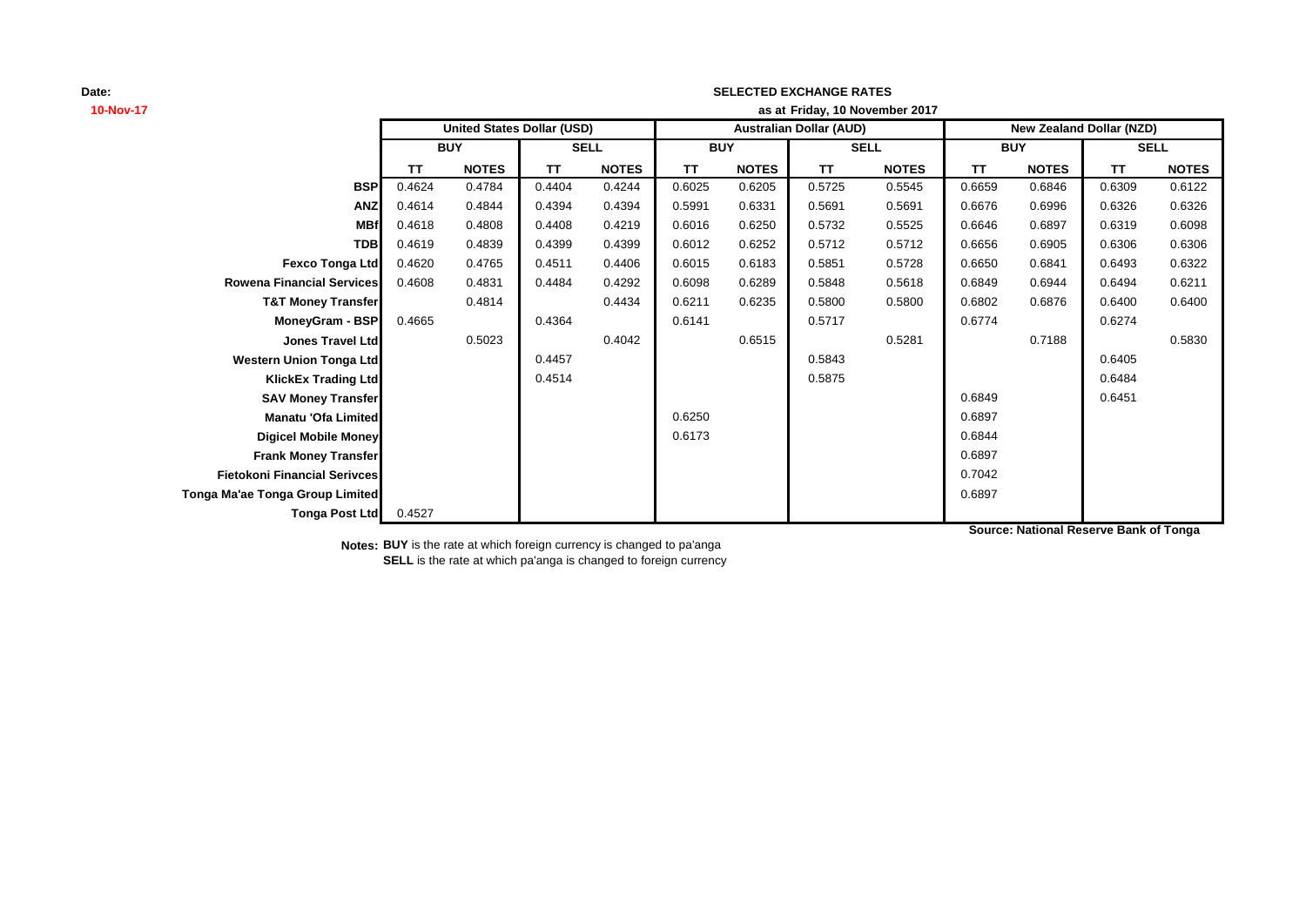# **10-Nov-17 as at TT NOTES TT NOTES TT NOTES TT NOTES TT NOTES TT NOTES BSP** 0.4624 0.4784 0.4404 0.4244 0.6025 0.6205 0.5725 0.5545 0.6659 0.6846 0.6309 0.6122 **ANZ** 0.4614 0.4844 0.4394 0.4394 0.5991 0.6331 0.5691 0.5691 0.6676 0.6996 0.6326 0.6326 **MBf** 0.4618 0.4808 0.4408 0.4219 0.6016 0.6250 0.5732 0.5525 0.6646 0.6897 0.6319 0.6098 **TDB** 0.4619 0.4839 0.4399 0.4399 0.6012 0.6252 0.5712 0.5712 0.6656 0.6905 0.6306 0.6306 **Fexco Tonga Ltd** 0.4620 0.4765 0.4511 0.4406 0.6015 0.6183 0.5851 0.5728 0.6650 0.6841 0.6493 0.6322 **Rowena Financial Services** 0.4608 0.4831 0.4484 0.4292 0.6098 0.6289 0.5848 0.5618 0.6849 0.6944 0.6494 0.6211 **T&T Money Transfer** 0.4814 0.4434 0.6211 0.6235 0.5800 0.5800 0.6802 0.6876 0.6400 0.6400 **MoneyGram - BSP** 0.4665 0.4364 0.6141 0.5717 0.6774 0.6274 **Jones Travel Ltd** 0.5023 0.4042 0.6515 0.5281 0.7188 0.5830 **Western Union Tonga Ltd 1.4457** 0.4457 **1.4457 1.4457 1.5843 1.457 1.4457 1.5843 1.6405 1.6405 1.6405 KlickEx Trading Ltd Contract Contract Contract 1 0.4514** 0.5875 **0.6484** 0.6484 **SAV Money Transfer Details and CONSIDER 19 and CONSIDER 19 and CONSIDER 19 and CONSIDER 19 and CONSIDER 19 and CONSIDER 19 and CONSIDER 19 and CONSIDER 19 and CONSIDER 19 and CONSIDER 19 and CONSIDER 19 and CONSIDER 19 Manatu 'Ofa Limited** 0.6897 **Digicel Mobile Money** 0.6844 **Frank Money Transfer** 8 (1995) 2008 12:30 12:30 12:30 12:30 12:30 12:30 12:30 12:30 12:30 12:30 12:30 12:30 12:30 12:30 12:30 12:30 12:30 12:30 12:30 12:30 12:30 12:30 12:30 12:30 12:30 12:30 12:30 12:30 12:30 12:30 12:30 **Fietokoni Financial Serivces** 0.7042 **Tonga Ma'ae Tonga Group Limited** 0.6897 **Tonga Post Ltd** 0.4527 **SELL United States Dollar (USD) Australian Dollar (AUD) New Zealand Dollar (NZD) BUY SELL BUY SELL BUY Friday, 10 November 2017**

**SELECTED EXCHANGE RATES**

**Source: National Reserve Bank of Tonga**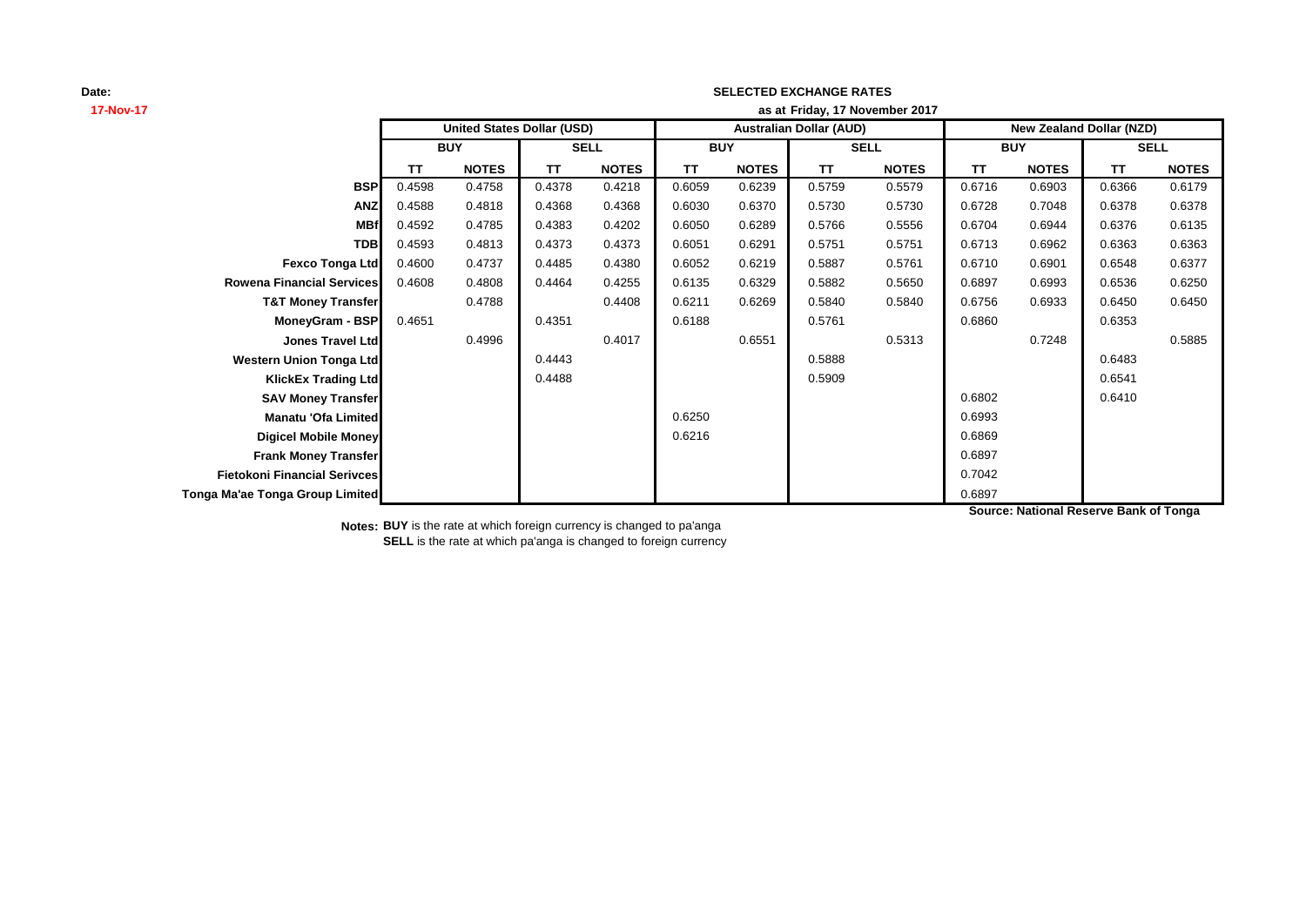# **17-Nov-17 as at TT NOTES TT NOTES TT NOTES TT NOTES TT NOTES TT NOTES BSP** 0.4598 0.4758 0.4378 0.4218 0.6059 0.6239 0.5759 0.5579 0.6716 0.6903 0.6366 0.6179 **ANZ** 0.4588 0.4818 0.4368 0.4368 0.6030 0.6370 0.5730 0.5730 0.6728 0.7048 0.6378 0.6378 **MBf** 0.4592 0.4785 0.4383 0.4202 0.6050 0.6289 0.5766 0.5556 0.6704 0.6944 0.6376 0.6135 **TDB** 0.4593 0.4813 0.4373 0.4373 0.6051 0.6291 0.5751 0.5751 0.6713 0.6962 0.6363 0.6363 **Fexco Tonga Ltd** 0.4600 0.4737 0.4485 0.4380 0.6052 0.6219 0.5887 0.5761 0.6710 0.6901 0.6548 0.6377 **Rowena Financial Services** 0.4608 0.4808 0.4464 0.4255 0.6135 0.6329 0.5882 0.5650 0.6897 0.6993 0.6536 0.6250 **T&T Money Transfer 0.4788 0.4408 0.6211 0.6269 0.5840 0.6840 0.6756 0.6933 0.6450 0.6450 MoneyGram - BSP|** 0.4651 | 0.4351 | 0.6188 | 0.5761 | 0.6860 | 0.6353 **Jones Travel Ltd** 0.4996 0.4017 0.6551 0.5313 0.7248 0.5885 **Western Union Tonga Ltd 1.6483** 0.4443 **1.6483** 0.5888 0.6483 0.6483 **KlickEx Trading Ltd** 0.4488 0.5909 0.6541 **SAV Money Transfer** 0.6410 **Manatu 'Ofa Limited** 0.6993 **Digicel Mobile Money** 0.6869 **Frank Money Transfer 2.0897 Fietokoni Financial Serivces** 0.7042 **Tonga Ma'ae Tonga Group Limited** 0.6897 **SELL United States Dollar (USD) Australian Dollar (AUD) New Zealand Dollar (NZD) BUY SELL BUY SELL BUY Friday, 17 November 2017**

**SELECTED EXCHANGE RATES**

**Source: National Reserve Bank of Tonga**